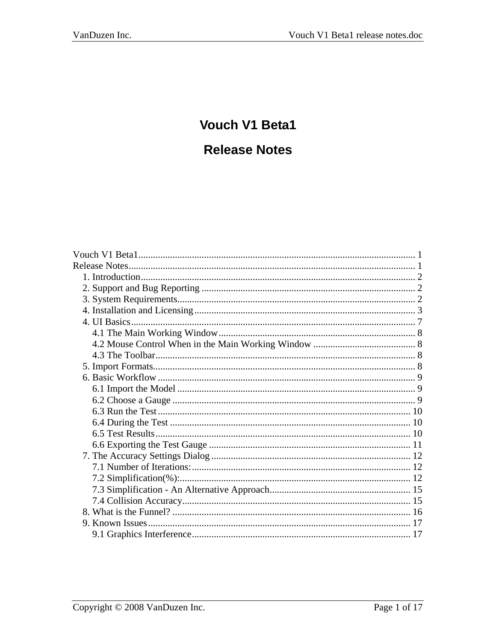# <span id="page-0-0"></span>**Vouch V1 Beta1**

# **Release Notes**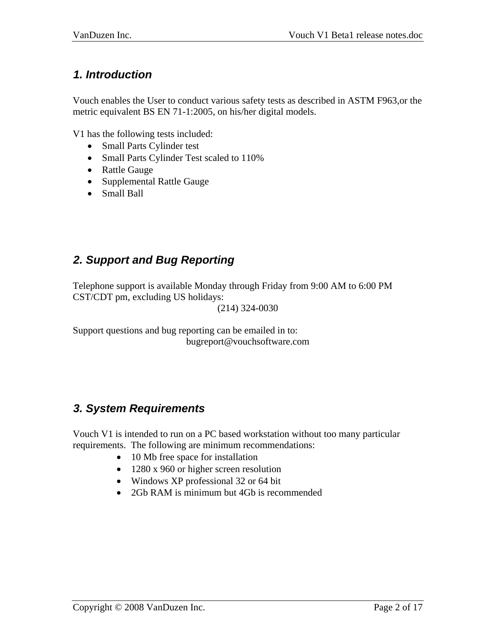## <span id="page-1-0"></span>*1. Introduction*

Vouch enables the User to conduct various safety tests as described in ASTM F963,or the metric equivalent BS EN 71-1:2005, on his/her digital models.

V1 has the following tests included:

- Small Parts Cylinder test
- Small Parts Cylinder Test scaled to 110%
- Rattle Gauge
- Supplemental Rattle Gauge
- Small Ball

# *2. Support and Bug Reporting*

Telephone support is available Monday through Friday from 9:00 AM to 6:00 PM CST/CDT pm, excluding US holidays:

(214) 324-0030

Support questions and bug reporting can be emailed in to: bugreport@vouchsoftware.com

## *3. System Requirements*

Vouch V1 is intended to run on a PC based workstation without too many particular requirements. The following are minimum recommendations:

- 10 Mb free space for installation
- 1280 x 960 or higher screen resolution
- Windows XP professional 32 or 64 bit
- 2Gb RAM is minimum but 4Gb is recommended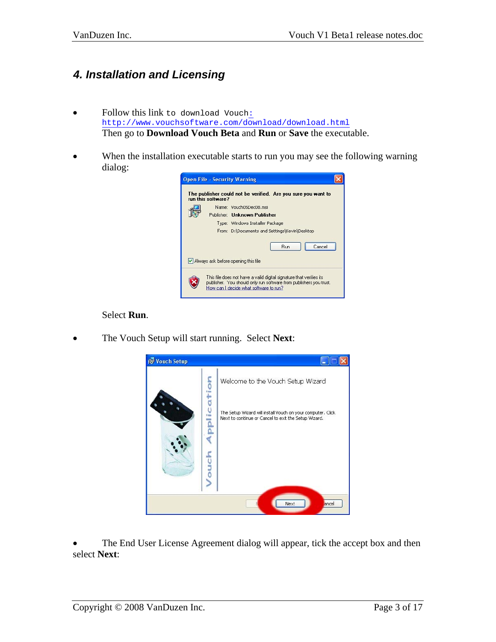# <span id="page-2-0"></span>*4. Installation and Licensing*

- Follow this link to download Vouc[h:](http://designhenrydesign.com/Vouch_site_new/loggedin/) [http://www.vouchsoftware.com/download/download.html](http://designhenrydesign.com/Vouch_site_new/loggedin/) Then go to **Download Vouch Beta** and **Run** or **Save** the executable.
- When the installation executable starts to run you may see the following warning dialog:



#### Select **Run**.

• The Vouch Setup will start running. Select **Next**:



The End User License Agreement dialog will appear, tick the accept box and then select **Next**: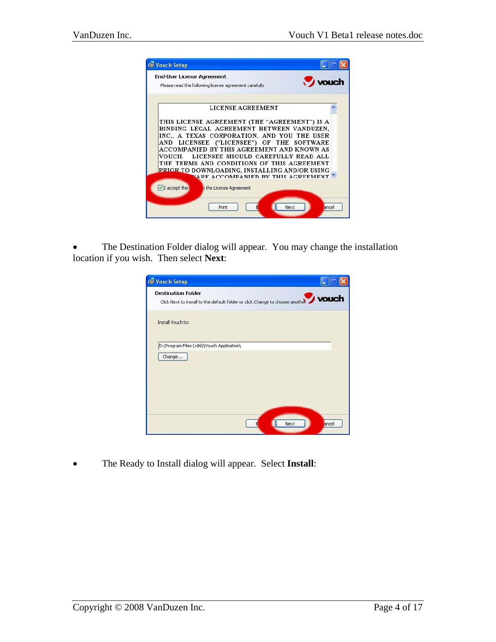

• The Destination Folder dialog will appear. You may change the installation location if you wish. Then select **Next**:

| Vouch Setup                                                                                                |       |
|------------------------------------------------------------------------------------------------------------|-------|
| <b>Destination Folder</b><br>Click Next to install to the default folder or click Change to choose another | vouch |
| Install Vouch to:                                                                                          |       |
| D:\Program Files (x86)\Vouch Application\                                                                  |       |
| Change                                                                                                     |       |
|                                                                                                            |       |
|                                                                                                            |       |
|                                                                                                            |       |
| Next<br>F                                                                                                  | ancel |

• The Ready to Install dialog will appear. Select **Install**: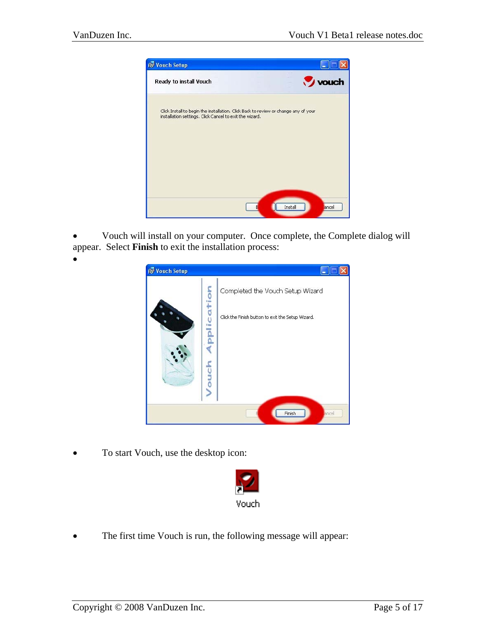•



• Vouch will install on your computer. Once complete, the Complete dialog will appear. Select **Finish** to exit the installation process:

| Vouch Setup |                          |                                                   |
|-------------|--------------------------|---------------------------------------------------|
|             |                          | Completed the Vouch Setup Wizard                  |
|             | lication<br><b>Touch</b> | Click the Finish button to exit the Setup Wizard. |
|             |                          | Finish<br>ancel                                   |

• To start Vouch, use the desktop icon:



• The first time Vouch is run, the following message will appear: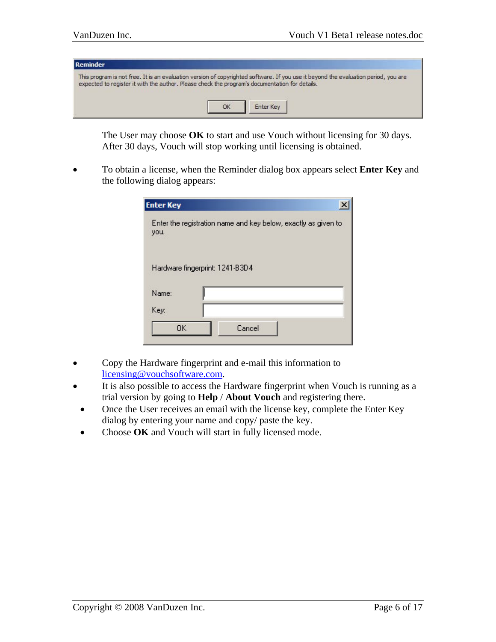| l Reminder                                                                                                                                                                                                                           |           |  |
|--------------------------------------------------------------------------------------------------------------------------------------------------------------------------------------------------------------------------------------|-----------|--|
| This program is not free. It is an evaluation version of copyrighted software. If you use it beyond the evaluation period, you are<br>expected to register it with the author. Please check the program's documentation for details. | Enter Key |  |

The User may choose **OK** to start and use Vouch without licensing for 30 days. After 30 days, Vouch will stop working until licensing is obtained.

• To obtain a license, when the Reminder dialog box appears select **Enter Key** and the following dialog appears:

| <b>Enter Key</b> |                                                                |  |
|------------------|----------------------------------------------------------------|--|
| you.             | Enter the registration name and key below, exactly as given to |  |
|                  | Hardware fingerprint: 1241-B3D4                                |  |
| Name:            |                                                                |  |
| Key:             |                                                                |  |
| <b>OK</b>        | Cancel                                                         |  |

- Copy the Hardware fingerprint and e-mail this information to [licensing@vouchsoftware.com.](mailto:licensing@vouchsoftware.com)
- It is also possible to access the Hardware fingerprint when Vouch is running as a trial version by going to **Help** / **About Vouch** and registering there.
- Once the User receives an email with the license key, complete the Enter Key dialog by entering your name and copy/ paste the key.
- Choose OK and Vouch will start in fully licensed mode.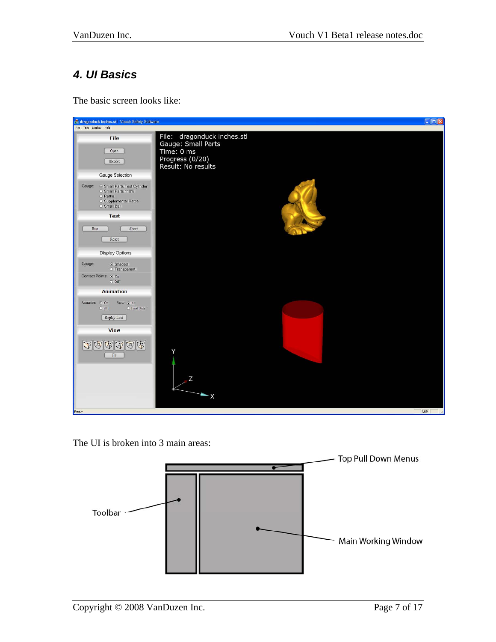# <span id="page-6-0"></span>*4. UI Basics*

The basic screen looks like:



The UI is broken into 3 main areas:

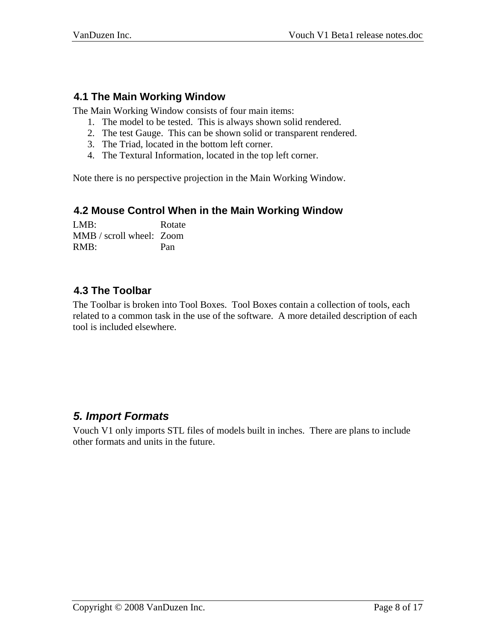### <span id="page-7-0"></span>**4.1 The Main Working Window**

The Main Working Window consists of four main items:

- 1. The model to be tested. This is always shown solid rendered.
- 2. The test Gauge. This can be shown solid or transparent rendered.
- 3. The Triad, located in the bottom left corner.
- 4. The Textural Information, located in the top left corner.

Note there is no perspective projection in the Main Working Window.

#### **4.2 Mouse Control When in the Main Working Window**

LMB: Rotate MMB / scroll wheel: Zoom RMB: Pan

#### **4.3 The Toolbar**

The Toolbar is broken into Tool Boxes. Tool Boxes contain a collection of tools, each related to a common task in the use of the software. A more detailed description of each tool is included elsewhere.

## *5. Import Formats*

Vouch V1 only imports STL files of models built in inches. There are plans to include other formats and units in the future.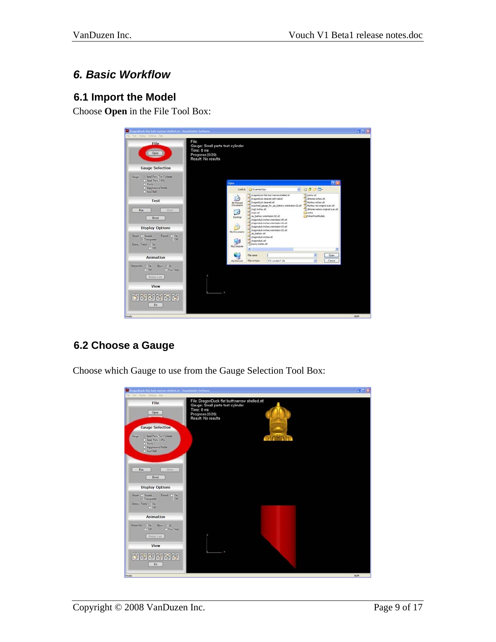## <span id="page-8-0"></span>*6. Basic Workflow*

#### **6.1 Import the Model**

Choose **Open** in the File Tool Box:



## **6.2 Choose a Gauge**

Choose which Gauge to use from the Gauge Selection Tool Box:

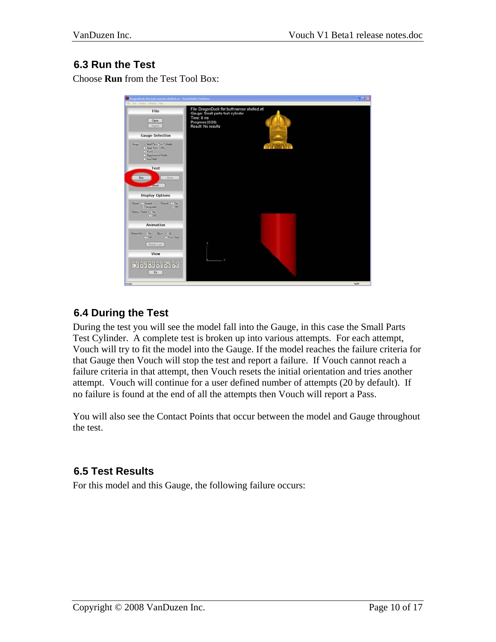#### <span id="page-9-0"></span>**6.3 Run the Test**

Choose **Run** from the Test Tool Box:

| Fie Tel: Thirty Stringt Help                                                                                                      |                                                                                                                                          |       |
|-----------------------------------------------------------------------------------------------------------------------------------|------------------------------------------------------------------------------------------------------------------------------------------|-------|
| File<br>Open<br>Export                                                                                                            | File: DragonDuck flat butt narrow shelled.stl<br>Gauge: Small parts test cylinder<br>Time: 0 ms<br>Progress (0/20)<br>Result: No results |       |
| <b>Gauge Selection</b>                                                                                                            |                                                                                                                                          |       |
| (c) Small Parts Test Cylinder<br>Guar<br>C Small Parts 110%<br>C Rattle<br>C Supplemental Rattle<br>Dall Daniel (C)               |                                                                                                                                          |       |
| Test                                                                                                                              |                                                                                                                                          |       |
| Ahert.<br>Run<br>Neset                                                                                                            |                                                                                                                                          |       |
| <b>Display Options</b>                                                                                                            |                                                                                                                                          |       |
| Funnit $\begin{bmatrix} 0 & 0 \\ 0 & 0 \end{bmatrix}$<br>Omer O Stated<br>O Transparent<br>Contact Points: (-) On<br><b>O Off</b> |                                                                                                                                          |       |
| Animation                                                                                                                         |                                                                                                                                          |       |
| Ammation (c) On<br>Show. $\odot$ All<br>O Final Only<br>$O$ Off.                                                                  |                                                                                                                                          |       |
| Meploy Last                                                                                                                       |                                                                                                                                          |       |
| View                                                                                                                              |                                                                                                                                          |       |
| <b>THERBE</b><br>Fit                                                                                                              |                                                                                                                                          |       |
| Paady.                                                                                                                            |                                                                                                                                          | 10,01 |

#### **6.4 During the Test**

During the test you will see the model fall into the Gauge, in this case the Small Parts Test Cylinder. A complete test is broken up into various attempts. For each attempt, Vouch will try to fit the model into the Gauge. If the model reaches the failure criteria for that Gauge then Vouch will stop the test and report a failure. If Vouch cannot reach a failure criteria in that attempt, then Vouch resets the initial orientation and tries another attempt. Vouch will continue for a user defined number of attempts (20 by default). If no failure is found at the end of all the attempts then Vouch will report a Pass.

You will also see the Contact Points that occur between the model and Gauge throughout the test.

#### **6.5 Test Results**

For this model and this Gauge, the following failure occurs: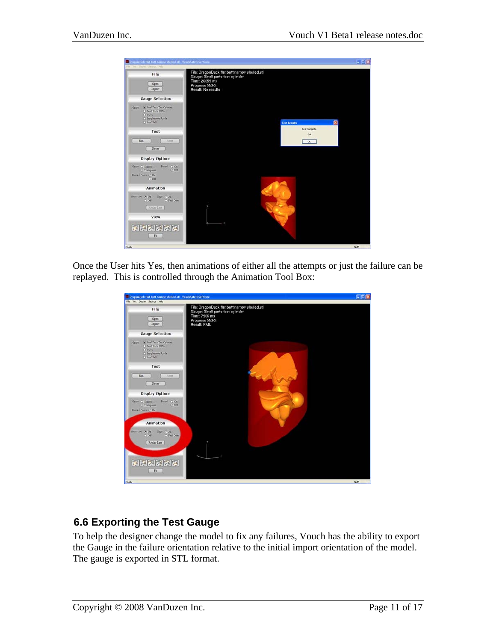<span id="page-10-0"></span>

Once the User hits Yes, then animations of either all the attempts or just the failure can be replayed. This is controlled through the Animation Tool Box:



## **6.6 Exporting the Test Gauge**

To help the designer change the model to fix any failures, Vouch has the ability to export the Gauge in the failure orientation relative to the initial import orientation of the model. The gauge is exported in STL format.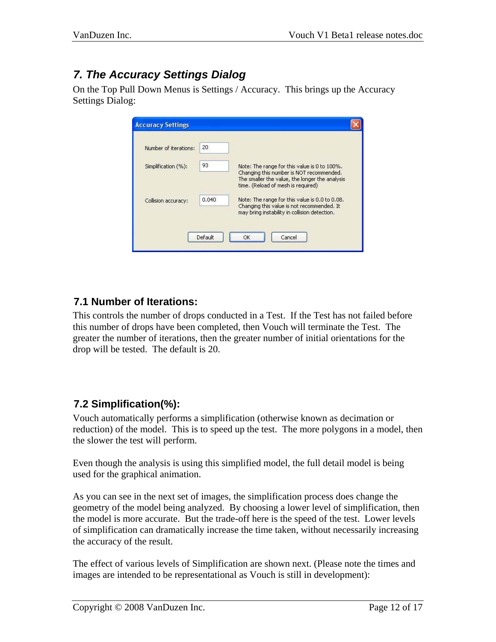# <span id="page-11-0"></span>*7. The Accuracy Settings Dialog*

On the Top Pull Down Menus is Settings / Accuracy. This brings up the Accuracy Settings Dialog:

| <b>Accuracy Settings</b> |         |                                                                                                                                                                                  |
|--------------------------|---------|----------------------------------------------------------------------------------------------------------------------------------------------------------------------------------|
| Number of iterations:    | 20      |                                                                                                                                                                                  |
| Simplification (%):      | 93      | Note: The range for this value is 0 to 100%.<br>Changing this number is NOT recommended.<br>The smaller the value, the longer the analysis<br>time. (Reload of mesh is required) |
| Collision accuracy:      | 0.040   | Note: The range for this value is 0.0 to 0.08.<br>Changing this value is not recommended. It<br>may bring instability in collision detection.                                    |
|                          | Default | Cancel<br>OK                                                                                                                                                                     |

## **7.1 Number of Iterations:**

This controls the number of drops conducted in a Test. If the Test has not failed before this number of drops have been completed, then Vouch will terminate the Test. The greater the number of iterations, then the greater number of initial orientations for the drop will be tested. The default is 20.

## **7.2 Simplification(%):**

Vouch automatically performs a simplification (otherwise known as decimation or reduction) of the model. This is to speed up the test. The more polygons in a model, then the slower the test will perform.

Even though the analysis is using this simplified model, the full detail model is being used for the graphical animation.

As you can see in the next set of images, the simplification process does change the geometry of the model being analyzed. By choosing a lower level of simplification, then the model is more accurate. But the trade-off here is the speed of the test. Lower levels of simplification can dramatically increase the time taken, without necessarily increasing the accuracy of the result.

The effect of various levels of Simplification are shown next. (Please note the times and images are intended to be representational as Vouch is still in development):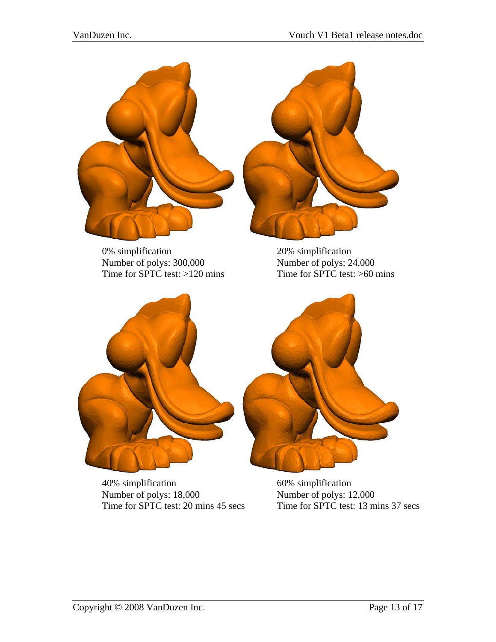

0% simplification 20% simplification Number of polys: 300,000 Number of polys: 24,000 Time for SPTC test:  $>120$  mins Time for SPTC test:  $>60$  mins



40% simplification<br>Number of polys: 18,000 60% simplification<br>Number of polys: 12,000 Number of polys: 18,000<br>Time for SPTC test: 20 mins 45 secs

Time for  $SPTC$  test: 13 mins 37 secs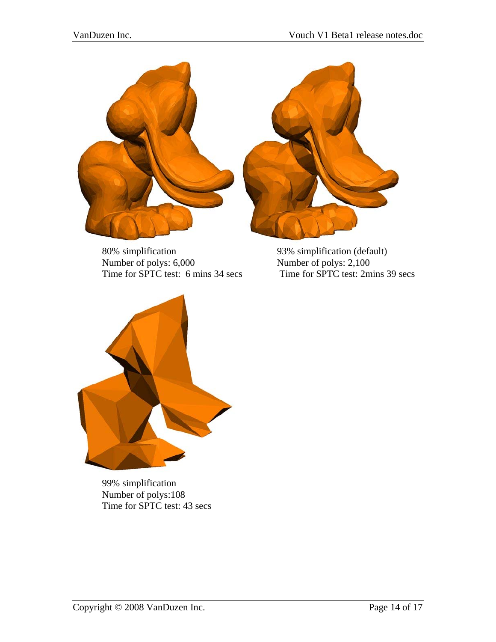

 80% simplification 93% simplification (default) Time for SPTC test: 6 mins 34 secs

Number of polys: 6,000<br>
Time for SPTC test: 6 mins 34 secs<br>
Time for SPTC test: 2 mins 39 secs



 99% simplification Number of polys:108 Time for SPTC test: 43 secs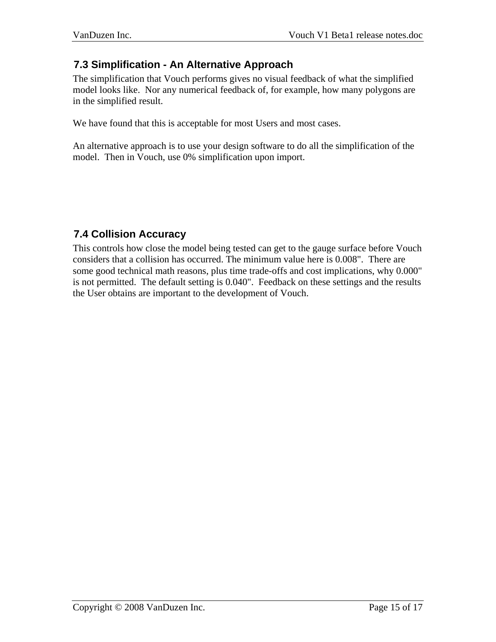### <span id="page-14-0"></span>**7.3 Simplification - An Alternative Approach**

The simplification that Vouch performs gives no visual feedback of what the simplified model looks like. Nor any numerical feedback of, for example, how many polygons are in the simplified result.

We have found that this is acceptable for most Users and most cases.

An alternative approach is to use your design software to do all the simplification of the model. Then in Vouch, use 0% simplification upon import.

## **7.4 Collision Accuracy**

This controls how close the model being tested can get to the gauge surface before Vouch considers that a collision has occurred. The minimum value here is 0.008". There are some good technical math reasons, plus time trade-offs and cost implications, why 0.000" is not permitted. The default setting is 0.040". Feedback on these settings and the results the User obtains are important to the development of Vouch.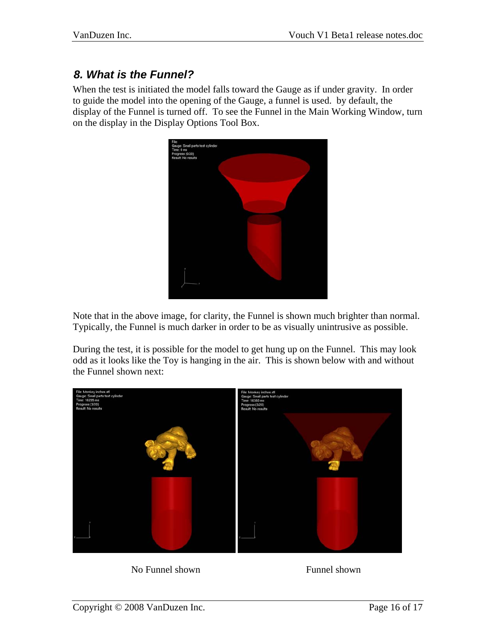## <span id="page-15-0"></span>*8. What is the Funnel?*

When the test is initiated the model falls toward the Gauge as if under gravity. In order to guide the model into the opening of the Gauge, a funnel is used. by default, the display of the Funnel is turned off. To see the Funnel in the Main Working Window, turn on the display in the Display Options Tool Box.



Note that in the above image, for clarity, the Funnel is shown much brighter than normal. Typically, the Funnel is much darker in order to be as visually unintrusive as possible.

During the test, it is possible for the model to get hung up on the Funnel. This may look odd as it looks like the Toy is hanging in the air. This is shown below with and without the Funnel shown next:



No Funnel shown Funnel shown